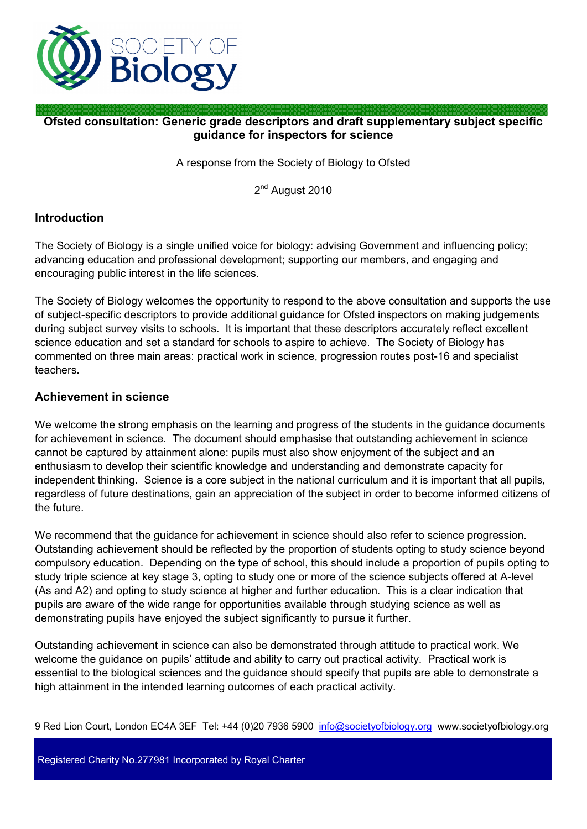

# **Ofsted consultation: Generic grade descriptors and draft supplementary subject specific guidance for inspectors for science**

A response from the Society of Biology to Ofsted

2<sup>nd</sup> August 2010

### **Introduction**

The Society of Biology is a single unified voice for biology: advising Government and influencing policy; advancing education and professional development; supporting our members, and engaging and encouraging public interest in the life sciences.

The Society of Biology welcomes the opportunity to respond to the above consultation and supports the use of subject-specific descriptors to provide additional guidance for Ofsted inspectors on making judgements during subject survey visits to schools. It is important that these descriptors accurately reflect excellent science education and set a standard for schools to aspire to achieve. The Society of Biology has commented on three main areas: practical work in science, progression routes post-16 and specialist teachers.

#### **Achievement in science**

We welcome the strong emphasis on the learning and progress of the students in the guidance documents for achievement in science. The document should emphasise that outstanding achievement in science cannot be captured by attainment alone: pupils must also show enjoyment of the subject and an enthusiasm to develop their scientific knowledge and understanding and demonstrate capacity for independent thinking. Science is a core subject in the national curriculum and it is important that all pupils, regardless of future destinations, gain an appreciation of the subject in order to become informed citizens of the future.

We recommend that the guidance for achievement in science should also refer to science progression. Outstanding achievement should be reflected by the proportion of students opting to study science beyond compulsory education. Depending on the type of school, this should include a proportion of pupils opting to study triple science at key stage 3, opting to study one or more of the science subjects offered at A-level (As and A2) and opting to study science at higher and further education. This is a clear indication that pupils are aware of the wide range for opportunities available through studying science as well as demonstrating pupils have enjoyed the subject significantly to pursue it further.

Outstanding achievement in science can also be demonstrated through attitude to practical work. We welcome the guidance on pupils' attitude and ability to carry out practical activity. Practical work is essential to the biological sciences and the guidance should specify that pupils are able to demonstrate a high attainment in the intended learning outcomes of each practical activity.

9 Red Lion Court, London EC4A 3EF Tel: +44 (0)20 7936 5900 info@societyofbiology.org www.societyofbiology.org

Registered Charity No.277981 Incorporated by Royal Charter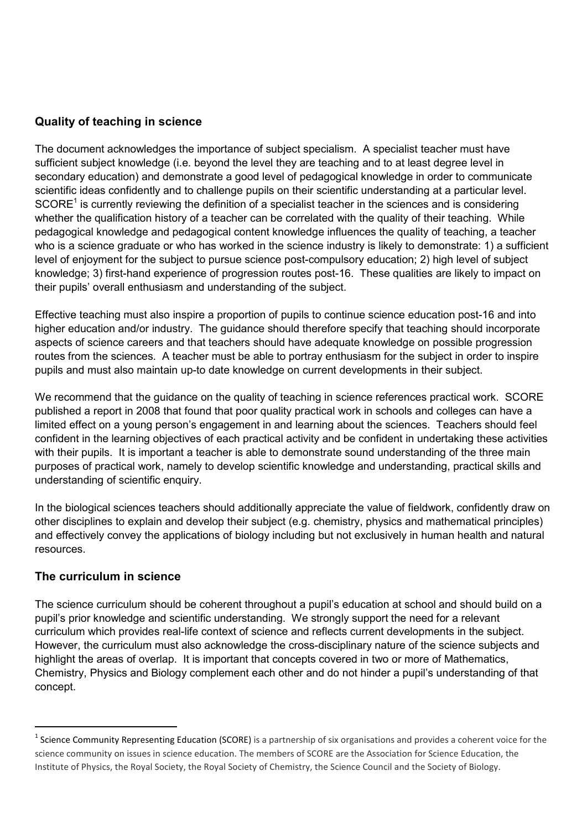## **Quality of teaching in science**

The document acknowledges the importance of subject specialism. A specialist teacher must have sufficient subject knowledge (i.e. beyond the level they are teaching and to at least degree level in secondary education) and demonstrate a good level of pedagogical knowledge in order to communicate scientific ideas confidently and to challenge pupils on their scientific understanding at a particular level. SCORE<sup>1</sup> is currently reviewing the definition of a specialist teacher in the sciences and is considering whether the qualification history of a teacher can be correlated with the quality of their teaching. While pedagogical knowledge and pedagogical content knowledge influences the quality of teaching, a teacher who is a science graduate or who has worked in the science industry is likely to demonstrate: 1) a sufficient level of enjoyment for the subject to pursue science post-compulsory education; 2) high level of subject knowledge; 3) first-hand experience of progression routes post-16. These qualities are likely to impact on their pupils' overall enthusiasm and understanding of the subject.

Effective teaching must also inspire a proportion of pupils to continue science education post-16 and into higher education and/or industry. The guidance should therefore specify that teaching should incorporate aspects of science careers and that teachers should have adequate knowledge on possible progression routes from the sciences. A teacher must be able to portray enthusiasm for the subject in order to inspire pupils and must also maintain up-to date knowledge on current developments in their subject.

We recommend that the quidance on the quality of teaching in science references practical work. SCORE published a report in 2008 that found that poor quality practical work in schools and colleges can have a limited effect on a young person's engagement in and learning about the sciences. Teachers should feel confident in the learning objectives of each practical activity and be confident in undertaking these activities with their pupils. It is important a teacher is able to demonstrate sound understanding of the three main purposes of practical work, namely to develop scientific knowledge and understanding, practical skills and understanding of scientific enquiry.

In the biological sciences teachers should additionally appreciate the value of fieldwork, confidently draw on other disciplines to explain and develop their subject (e.g. chemistry, physics and mathematical principles) and effectively convey the applications of biology including but not exclusively in human health and natural resources.

### **The curriculum in science**

 $\overline{a}$ 

The science curriculum should be coherent throughout a pupil's education at school and should build on a pupil's prior knowledge and scientific understanding. We strongly support the need for a relevant curriculum which provides real-life context of science and reflects current developments in the subject. However, the curriculum must also acknowledge the cross-disciplinary nature of the science subjects and highlight the areas of overlap. It is important that concepts covered in two or more of Mathematics, Chemistry, Physics and Biology complement each other and do not hinder a pupil's understanding of that concept.

<sup>&</sup>lt;sup>1</sup> Science Community Representing Education (SCORE) is a partnership of six organisations and provides a coherent voice for the science community on issues in science education. The members of SCORE are the Association for Science Education, the Institute of Physics, the Royal Society, the Royal Society of Chemistry, the Science Council and the Society of Biology.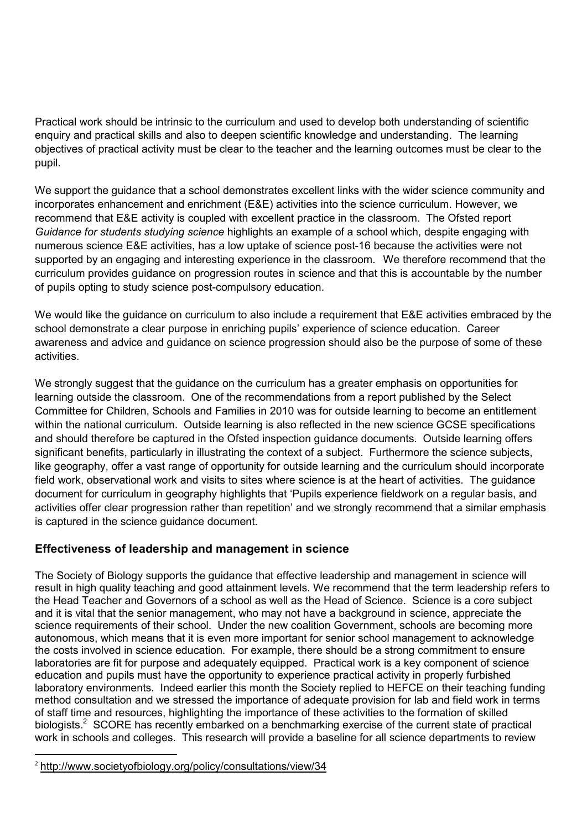Practical work should be intrinsic to the curriculum and used to develop both understanding of scientific enquiry and practical skills and also to deepen scientific knowledge and understanding. The learning objectives of practical activity must be clear to the teacher and the learning outcomes must be clear to the pupil.

We support the quidance that a school demonstrates excellent links with the wider science community and incorporates enhancement and enrichment (E&E) activities into the science curriculum. However, we recommend that E&E activity is coupled with excellent practice in the classroom. The Ofsted report *Guidance for students studying science* highlights an example of a school which, despite engaging with numerous science E&E activities, has a low uptake of science post-16 because the activities were not supported by an engaging and interesting experience in the classroom. We therefore recommend that the curriculum provides guidance on progression routes in science and that this is accountable by the number of pupils opting to study science post-compulsory education.

We would like the guidance on curriculum to also include a requirement that E&E activities embraced by the school demonstrate a clear purpose in enriching pupils' experience of science education. Career awareness and advice and guidance on science progression should also be the purpose of some of these activities.

We strongly suggest that the guidance on the curriculum has a greater emphasis on opportunities for learning outside the classroom. One of the recommendations from a report published by the Select Committee for Children, Schools and Families in 2010 was for outside learning to become an entitlement within the national curriculum. Outside learning is also reflected in the new science GCSE specifications and should therefore be captured in the Ofsted inspection guidance documents. Outside learning offers significant benefits, particularly in illustrating the context of a subject. Furthermore the science subjects, like geography, offer a vast range of opportunity for outside learning and the curriculum should incorporate field work, observational work and visits to sites where science is at the heart of activities. The guidance document for curriculum in geography highlights that 'Pupils experience fieldwork on a regular basis, and activities offer clear progression rather than repetition' and we strongly recommend that a similar emphasis is captured in the science guidance document.

### **Effectiveness of leadership and management in science**

The Society of Biology supports the guidance that effective leadership and management in science will result in high quality teaching and good attainment levels. We recommend that the term leadership refers to the Head Teacher and Governors of a school as well as the Head of Science. Science is a core subject and it is vital that the senior management, who may not have a background in science, appreciate the science requirements of their school. Under the new coalition Government, schools are becoming more autonomous, which means that it is even more important for senior school management to acknowledge the costs involved in science education. For example, there should be a strong commitment to ensure laboratories are fit for purpose and adequately equipped. Practical work is a key component of science education and pupils must have the opportunity to experience practical activity in properly furbished laboratory environments. Indeed earlier this month the Society replied to HEFCE on their teaching funding method consultation and we stressed the importance of adequate provision for lab and field work in terms of staff time and resources, highlighting the importance of these activities to the formation of skilled biologists.<sup>2</sup> SCORE has recently embarked on a benchmarking exercise of the current state of practical work in schools and colleges. This research will provide a baseline for all science departments to review

 $\overline{a}$ 

<sup>&</sup>lt;sup>2</sup> http://www.societyofbiology.org/policy/consultations/view/34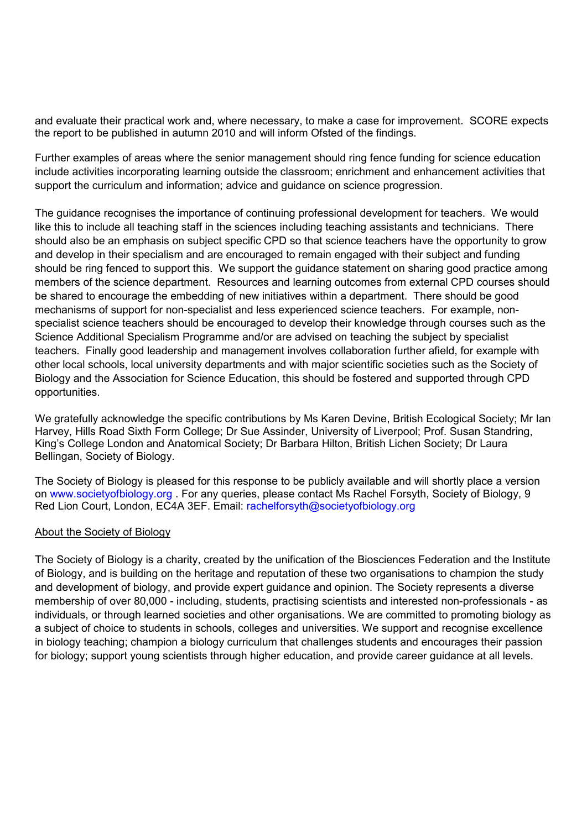and evaluate their practical work and, where necessary, to make a case for improvement. SCORE expects the report to be published in autumn 2010 and will inform Ofsted of the findings.

Further examples of areas where the senior management should ring fence funding for science education include activities incorporating learning outside the classroom; enrichment and enhancement activities that support the curriculum and information; advice and guidance on science progression.

The guidance recognises the importance of continuing professional development for teachers. We would like this to include all teaching staff in the sciences including teaching assistants and technicians. There should also be an emphasis on subject specific CPD so that science teachers have the opportunity to grow and develop in their specialism and are encouraged to remain engaged with their subject and funding should be ring fenced to support this. We support the guidance statement on sharing good practice among members of the science department. Resources and learning outcomes from external CPD courses should be shared to encourage the embedding of new initiatives within a department. There should be good mechanisms of support for non-specialist and less experienced science teachers. For example, nonspecialist science teachers should be encouraged to develop their knowledge through courses such as the Science Additional Specialism Programme and/or are advised on teaching the subject by specialist teachers. Finally good leadership and management involves collaboration further afield, for example with other local schools, local university departments and with major scientific societies such as the Society of Biology and the Association for Science Education, this should be fostered and supported through CPD opportunities.

We gratefully acknowledge the specific contributions by Ms Karen Devine, British Ecological Society; Mr Ian Harvey, Hills Road Sixth Form College; Dr Sue Assinder, University of Liverpool; Prof. Susan Standring, King's College London and Anatomical Society; Dr Barbara Hilton, British Lichen Society; Dr Laura Bellingan, Society of Biology.

The Society of Biology is pleased for this response to be publicly available and will shortly place a version on www.societyofbiology.org . For any queries, please contact Ms Rachel Forsyth, Society of Biology, 9 Red Lion Court, London, EC4A 3EF. Email: rachelforsyth@societyofbiology.org

#### About the Society of Biology

The Society of Biology is a charity, created by the unification of the Biosciences Federation and the Institute of Biology, and is building on the heritage and reputation of these two organisations to champion the study and development of biology, and provide expert guidance and opinion. The Society represents a diverse membership of over 80,000 - including, students, practising scientists and interested non-professionals - as individuals, or through learned societies and other organisations. We are committed to promoting biology as a subject of choice to students in schools, colleges and universities. We support and recognise excellence in biology teaching; champion a biology curriculum that challenges students and encourages their passion for biology; support young scientists through higher education, and provide career guidance at all levels.